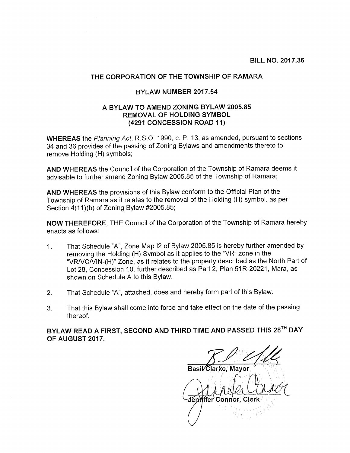BILL NO. 2017.36

## THE CORPORATION OF THE TOWNSHIP OF RAMARA

## BYLAW NUMBER 2017.54

## A BYLAW TO AMEND ZONING BYLAW 2005.85 REMOVAL OF HOLDING SYMBOL (4291 CONCESSION ROAD 11)

WHEREAS the Planning Act, R.S.O. 1990, c. P. 13, as amended, pursuant to sections 34 and 36 provides of the passing of Zoning Bylaws and amendments thereto to remove Holding (H) symbols;

AND WHEREAS the Council of the Corporation of the Township of Ramara deems it advisable to further amend Zoning Bylaw 2005.85 of the Township of Ramara;

AND WHEREAS the provisions of this Bylaw conform to the Official Plan of the Township of Ramara as it relates to the removal of the Holding (H) symbol, as per Section 4(11)(b) of Zoning Bylaw #2005.85;

NOW THEREFORE, THE Council of the Corporation of the Township of Ramara hereby enacts as follows:

- 1. That Schedule "A", Zone Map <sup>12</sup> of Bylaw 2005.85 is hereby further amended by removing the Holding (H) Symbol as it applies to the "VR" zone in the "VRNCNIN-(H)" Zone, as it relates to the property described as the North Part of Lot 28, Concession 10, further described as Part 2, Plan 51R-20221, Mara, as shown on Schedule A to this Bylaw.
- 2. That Schedule "A", attached, does and hereby form part of this Bylaw.
- 3. That this Bylaw shall come into force and take effect on the date of the passing thereof.

BYLAW READ A FIRST, SECOND AND THIRD TIME AND PASSED THIS 28TH DAY OF AUGUST 2017.

Jennifer Connor, Cler